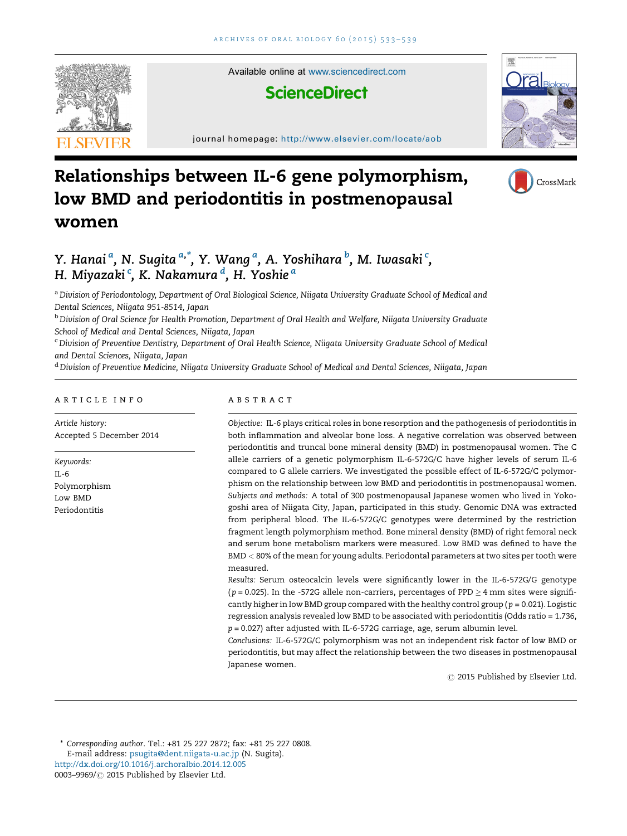

Available online at [www.sciencedirect.com](http://www.sciencedirect.com/science/journal/00039969)

# **ScienceDirect**

journal homepage: <http://www.elsevier.com/locate/aob>



# Relationships between IL-6 gene polymorphism, low BMD and periodontitis in postmenopausal women



# Y. Hanai<sup>a</sup>, N. Sugita<sup>a,\*</sup>, Y. Wang<sup>a</sup>, A. Yoshihara <sup>b</sup>, M. Iwasaki <sup>c</sup>, H. Miyazaki <sup>c</sup>, K. Nakamura <sup>d</sup>, H. Yoshie <sup>a</sup>

a Division of Periodontology, Department of Oral Biological Science, Niigata University Graduate School of Medical and Dental Sciences, Niigata 951-8514, Japan

**b Division of Oral Science for Health Promotion, Department of Oral Health and Welfare, Niigata University Graduate** School of Medical and Dental Sciences, Niigata, Japan

<sup>c</sup> Division of Preventive Dentistry, Department of Oral Health Science, Niigata University Graduate School of Medical and Dental Sciences, Niigata, Japan

<sup>d</sup> Division of Preventive Medicine, Niigata University Graduate School of Medical and Dental Sciences, Niigata, Japan

#### ARTICLE INFO

Article history: Accepted 5 December 2014

Keywords: IL-6 Polymorphism Low BMD Periodontitis

#### A B S T R A C T

Objective: IL-6 plays critical roles in bone resorption and the pathogenesis of periodontitis in both inflammation and alveolar bone loss. A negative correlation was observed between periodontitis and truncal bone mineral density (BMD) in postmenopausal women. The C allele carriers of a genetic polymorphism IL-6-572G/C have higher levels of serum IL-6 compared to G allele carriers. We investigated the possible effect of IL-6-572G/C polymorphism on the relationship between low BMD and periodontitis in postmenopausal women. Subjects and methods: A total of 300 postmenopausal Japanese women who lived in Yokogoshi area of Niigata City, Japan, participated in this study. Genomic DNA was extracted from peripheral blood. The IL-6-572G/C genotypes were determined by the restriction fragment length polymorphism method. Bone mineral density (BMD) of right femoral neck and serum bone metabolism markers were measured. Low BMD was defined to have the BMD < 80% of the mean for young adults. Periodontal parameters at two sites per tooth were measured.

Results: Serum osteocalcin levels were significantly lower in the IL-6-572G/G genotype ( $p = 0.025$ ). In the -572G allele non-carriers, percentages of PPD  $\geq 4$  mm sites were significantly higher in low BMD group compared with the healthy control group ( $p = 0.021$ ). Logistic regression analysis revealed low BMD to be associated with periodontitis (Odds ratio = 1.736,  $p = 0.027$ ) after adjusted with IL-6-572G carriage, age, serum albumin level.

Conclusions: IL-6-572G/C polymorphism was not an independent risk factor of low BMD or periodontitis, but may affect the relationship between the two diseases in postmenopausal Japanese women.

 $\oslash$  2015 Published by Elsevier Ltd.

\* Corresponding author. Tel.: +81 25 227 2872; fax: +81 25 227 0808. E-mail address: [psugita@dent.niigata-u.ac.jp](mailto:psugita@dent.niigata-u.ac.jp) (N. Sugita). <http://dx.doi.org/10.1016/j.archoralbio.2014.12.005> 0003-9969/  $\oslash$  2015 Published by Elsevier Ltd.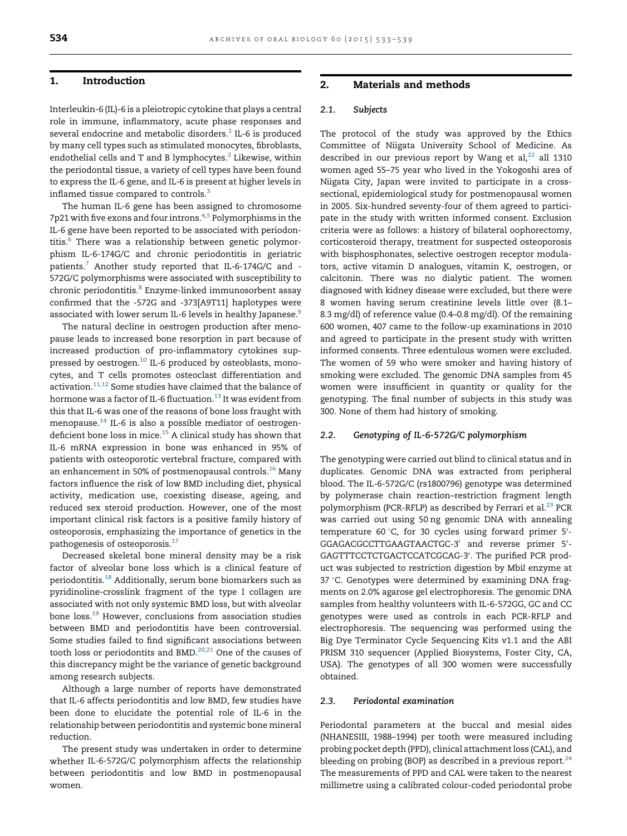#### 1. Introduction

Interleukin-6 (IL)-6 is a pleiotropic cytokine that plays a central role in immune, inflammatory, acute phase responses and several endocrine and metabolic disorders. $1$  IL-6 is produced by many cell types such as stimulated monocytes, fibroblasts, endothelial cells and T and B lymphocytes. $2$  Likewise, within the periodontal tissue, a variety of cell types have been found to express the IL-6 gene, and IL-6 is present at higher levels in inflamed tissue compared to controls.<sup>[3](#page-5-0)</sup>

The human IL-6 gene has been assigned to chromosome 7p21 with five exons and four introns.<sup>[4,5](#page-5-0)</sup> Polymorphisms in the IL-6 gene have been reported to be associated with periodon-titis.<sup>[6](#page-5-0)</sup> There was a relationship between genetic polymorphism IL-6-174G/C and chronic periodontitis in geriatric patients.[7](#page-5-0) Another study reported that IL-6-174G/C and - 572G/C polymorphisms were associated with susceptibility to chronic periodontitis.<sup>[8](#page-5-0)</sup> Enzyme-linked immunosorbent assay confirmed that the -572G and -373[A9T11] haplotypes were associated with lower serum IL-6 levels in healthy Japanese.<sup>9</sup>

The natural decline in oestrogen production after menopause leads to increased bone resorption in part because of increased production of pro-inflammatory cytokines sup-pressed by oestrogen.<sup>[10](#page-5-0)</sup> IL-6 produced by osteoblasts, monocytes, and T cells promotes osteoclast differentiation and activation[.11,12](#page-5-0) Some studies have claimed that the balance of hormone was a factor of IL-6 fluctuation.<sup>[13](#page-6-0)</sup> It was evident from this that IL-6 was one of the reasons of bone loss fraught with menopause.[14](#page-6-0) IL-6 is also a possible mediator of oestrogendeficient bone loss in mice. $^{15}$  $^{15}$  $^{15}$  A clinical study has shown that IL-6 mRNA expression in bone was enhanced in 95% of patients with osteoporotic vertebral fracture, compared with an enhancement in 50% of postmenopausal controls.<sup>[16](#page-6-0)</sup> Many factors influence the risk of low BMD including diet, physical activity, medication use, coexisting disease, ageing, and reduced sex steroid production. However, one of the most important clinical risk factors is a positive family history of osteoporosis, emphasizing the importance of genetics in the pathogenesis of osteoporosis.<sup>[17](#page-6-0)</sup>

Decreased skeletal bone mineral density may be a risk factor of alveolar bone loss which is a clinical feature of periodontitis.<sup>18</sup> Additionally, serum bone biomarkers such as pyridinoline-crosslink fragment of the type I collagen are associated with not only systemic BMD loss, but with alveolar bone loss[.19](#page-6-0) However, conclusions from association studies between BMD and periodontitis have been controversial. Some studies failed to find significant associations between tooth loss or periodontits and BMD.<sup>[20,21](#page-6-0)</sup> One of the causes of this discrepancy might be the variance of genetic background among research subjects.

Although a large number of reports have demonstrated that IL-6 affects periodontitis and low BMD, few studies have been done to elucidate the potential role of IL-6 in the relationship between periodontitis and systemic bone mineral reduction.

The present study was undertaken in order to determine whether IL-6-572G/C polymorphism affects the relationship between periodontitis and low BMD in postmenopausal women.

## 2. Materials and methods

#### 2.1. Subjects

The protocol of the study was approved by the Ethics Committee of Niigata University School of Medicine. As described in our previous report by Wang et al, $^{22}$  $^{22}$  $^{22}$  all 1310 women aged 55–75 year who lived in the Yokogoshi area of Niigata City, Japan were invited to participate in a crosssectional, epidemiological study for postmenopausal women in 2005. Six-hundred seventy-four of them agreed to participate in the study with written informed consent. Exclusion criteria were as follows: a history of bilateral oophorectomy, corticosteroid therapy, treatment for suspected osteoporosis with bisphosphonates, selective oestrogen receptor modulators, active vitamin D analogues, vitamin K, oestrogen, or calcitonin. There was no dialytic patient. The women diagnosed with kidney disease were excluded, but there were 8 women having serum creatinine levels little over (8.1– 8.3 mg/dl) of reference value (0.4–0.8 mg/dl). Of the remaining 600 women, 407 came to the follow-up examinations in 2010 and agreed to participate in the present study with written informed consents. Three edentulous women were excluded. The women of 59 who were smoker and having history of smoking were excluded. The genomic DNA samples from 45 women were insufficient in quantity or quality for the genotyping. The final number of subjects in this study was 300. None of them had history of smoking.

#### 2.2. Genotyping of IL-6-572G/C polymorphism

The genotyping were carried out blind to clinical status and in duplicates. Genomic DNA was extracted from peripheral blood. The IL-6-572G/C (rs1800796) genotype was determined by polymerase chain reaction–restriction fragment length polymorphism (PCR-RFLP) as described by Ferrari et al.<sup>23</sup> PCR was carried out using 50 ng genomic DNA with annealing temperature 60 $\degree$ C, for 30 cycles using forward primer 5'-GGAGACGCCTTGAAGTAACTGC-3' and reverse primer 5'-GAGTTTCCTCTGACTCCATCGCAG-3'. The purified PCR product was subjected to restriction digestion by MbiI enzyme at 37 °C. Genotypes were determined by examining DNA fragments on 2.0% agarose gel electrophoresis. The genomic DNA samples from healthy volunteers with IL-6-572GG, GC and CC genotypes were used as controls in each PCR-RFLP and electrophoresis. The sequencing was performed using the Big Dye Terminator Cycle Sequencing Kits v1.1 and the ABI PRISM 310 sequencer (Applied Biosystems, Foster City, CA, USA). The genotypes of all 300 women were successfully obtained.

#### 2.3. Periodontal examination

Periodontal parameters at the buccal and mesial sides (NHANESIII, 1988–1994) per tooth were measured including probing pocket depth (PPD), clinical attachmentloss (CAL), and bleeding on probing (BOP) as described in a previous report. $24$ The measurements of PPD and CAL were taken to the nearest millimetre using a calibrated colour-coded periodontal probe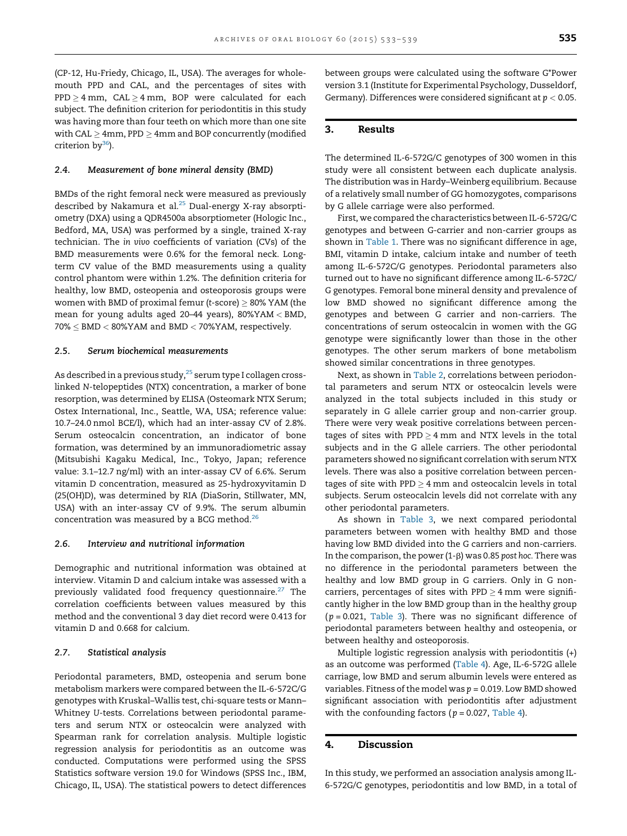(CP-12, Hu-Friedy, Chicago, IL, USA). The averages for wholemouth PPD and CAL, and the percentages of sites with  $\mathtt{PPD}\geq 4\ \mathtt{mm},\ \ \mathtt{CAL} \geq 4\ \mathtt{mm},\ \ \mathtt{BOP}\ \ \mathtt{were}\ \ \mathtt{calculated}\ \ \mathtt{for}\ \ \mathtt{each}$ subject. The definition criterion for periodontitis in this study was having more than four teeth on which more than one site with CAL  $\geq$  4mm, PPD  $\geq$  4mm and BOP concurrently (modified criterion  $bv^{36}$ ).

#### 2.4. Measurement of bone mineral density (BMD)

BMDs of the right femoral neck were measured as previously described by Nakamura et al.<sup>[25](#page-6-0)</sup> Dual-energy X-ray absorptiometry (DXA) using a QDR4500a absorptiometer (Hologic Inc., Bedford, MA, USA) was performed by a single, trained X-ray technician. The in vivo coefficients of variation (CVs) of the BMD measurements were 0.6% for the femoral neck. Longterm CV value of the BMD measurements using a quality control phantom were within 1.2%. The definition criteria for healthy, low BMD, osteopenia and osteoporosis groups were women with BMD of proximal femur (t-score)  $\geq$  80% YAM (the mean for young adults aged 20–44 years), 80%YAM < BMD,  $70\% \leq$  BMD  $<$  80%YAM and BMD  $<$  70%YAM, respectively.

#### 2.5. Serum biochemical measurements

As described in a previous study,  $25$  serum type I collagen crosslinked N-telopeptides (NTX) concentration, a marker of bone resorption, was determined by ELISA (Osteomark NTX Serum; Ostex International, Inc., Seattle, WA, USA; reference value: 10.7–24.0 nmol BCE/l), which had an inter-assay CV of 2.8%. Serum osteocalcin concentration, an indicator of bone formation, was determined by an immunoradiometric assay (Mitsubishi Kagaku Medical, Inc., Tokyo, Japan; reference value: 3.1–12.7 ng/ml) with an inter-assay CV of 6.6%. Serum vitamin D concentration, measured as 25-hydroxyvitamin D (25(OH)D), was determined by RIA (DiaSorin, Stillwater, MN, USA) with an inter-assay CV of 9.9%. The serum albumin concentration was measured by a BCG method. $^{26}$ 

#### 2.6. Interview and nutritional information

Demographic and nutritional information was obtained at interview. Vitamin D and calcium intake was assessed with a previously validated food frequency questionnaire.<sup>[27](#page-6-0)</sup> The correlation coefficients between values measured by this method and the conventional 3 day diet record were 0.413 for vitamin D and 0.668 for calcium.

#### 2.7. Statistical analysis

Periodontal parameters, BMD, osteopenia and serum bone metabolism markers were compared between the IL-6-572C/G genotypes with Kruskal–Wallis test, chi-square tests or Mann– Whitney U-tests. Correlations between periodontal parameters and serum NTX or osteocalcin were analyzed with Spearman rank for correlation analysis. Multiple logistic regression analysis for periodontitis as an outcome was conducted. Computations were performed using the SPSS Statistics software version 19.0 for Windows (SPSS Inc., IBM, Chicago, IL, USA). The statistical powers to detect differences between groups were calculated using the software G\*Power version 3.1 (Institute for Experimental Psychology, Dusseldorf, Germany). Differences were considered significant at  $p < 0.05$ .

# 3. Results

The determined IL-6-572G/C genotypes of 300 women in this study were all consistent between each duplicate analysis. The distribution was in Hardy–Weinberg equilibrium. Because of a relatively small number of GG homozygotes, comparisons by G allele carriage were also performed.

First, we compared the characteristics between IL-6-572G/C genotypes and between G-carrier and non-carrier groups as shown in [Table](#page-3-0) 1. There was no significant difference in age, BMI, vitamin D intake, calcium intake and number of teeth among IL-6-572C/G genotypes. Periodontal parameters also turned out to have no significant difference among IL-6-572C/ G genotypes. Femoral bone mineral density and prevalence of low BMD showed no significant difference among the genotypes and between G carrier and non-carriers. The concentrations of serum osteocalcin in women with the GG genotype were significantly lower than those in the other genotypes. The other serum markers of bone metabolism showed similar concentrations in three genotypes.

Next, as shown in [Table](#page-3-0) 2, correlations between periodontal parameters and serum NTX or osteocalcin levels were analyzed in the total subjects included in this study or separately in G allele carrier group and non-carrier group. There were very weak positive correlations between percentages of sites with PPD  $\geq$  4 mm and NTX levels in the total subjects and in the G allele carriers. The other periodontal parameters showed no significant correlation with serum NTX levels. There was also a positive correlation between percentages of site with PPD  $\geq$  4 mm and osteocalcin levels in total subjects. Serum osteocalcin levels did not correlate with any other periodontal parameters.

As shown in [Table](#page-4-0) 3, we next compared periodontal parameters between women with healthy BMD and those having low BMD divided into the G carriers and non-carriers. In the comparison, the power  $(1-\beta)$  was 0.85 post hoc. There was no difference in the periodontal parameters between the healthy and low BMD group in G carriers. Only in G noncarriers, percentages of sites with PPD  $\geq 4 \text{ mm}$  were significantly higher in the low BMD group than in the healthy group  $(p = 0.021,$  [Table](#page-4-0) 3). There was no significant difference of periodontal parameters between healthy and osteopenia, or between healthy and osteoporosis.

Multiple logistic regression analysis with periodontitis (+) as an outcome was performed [\(Table](#page-4-0) 4). Age, IL-6-572G allele carriage, low BMD and serum albumin levels were entered as variables. Fitness of the model was  $p = 0.019$ . Low BMD showed significant association with periodontitis after adjustment with the confounding factors ( $p = 0.027$ , [Table](#page-4-0) 4).

#### 4. Discussion

In this study, we performed an association analysis among IL-6-572G/C genotypes, periodontitis and low BMD, in a total of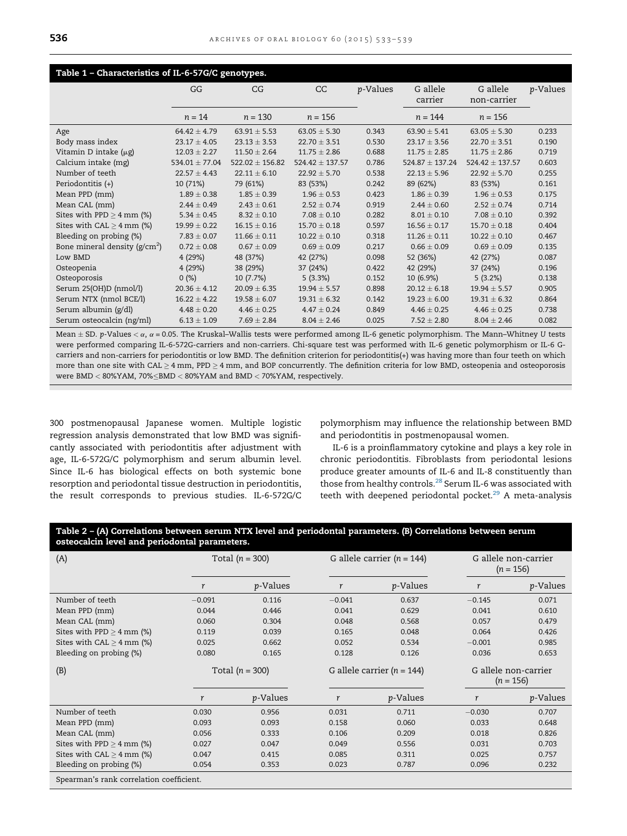<span id="page-3-0"></span>

| Table 1 - Characteristics of IL-6-57G/C genotypes. |                    |                     |                     |                  |                     |                     |                  |  |
|----------------------------------------------------|--------------------|---------------------|---------------------|------------------|---------------------|---------------------|------------------|--|
|                                                    | GG                 | CG                  | CC                  | <i>p</i> -Values | G allele            | G allele            | <i>p</i> -Values |  |
|                                                    |                    |                     |                     |                  | carrier             | non-carrier         |                  |  |
|                                                    | $n = 14$           | $n = 130$           | $n = 156$           |                  | $n = 144$           | $n = 156$           |                  |  |
| Age                                                | $64.42 \pm 4.79$   | $63.91 \pm 5.53$    | $63.05 \pm 5.30$    | 0.343            | $63.90 \pm 5.41$    | $63.05 \pm 5.30$    | 0.233            |  |
| Body mass index                                    | $23.17 \pm 4.05$   | $23.13 \pm 3.53$    | $22.70 \pm 3.51$    | 0.530            | $23.17 \pm 3.56$    | $22.70 \pm 3.51$    | 0.190            |  |
| Vitamin D intake $(\mu g)$                         | $12.03 \pm 2.27$   | $11.50 \pm 2.64$    | $11.75 \pm 2.86$    | 0.688            | $11.75 \pm 2.85$    | $11.75 \pm 2.86$    | 0.719            |  |
| Calcium intake (mg)                                | $534.01 \pm 77.04$ | $522.02 \pm 156.82$ | $524.42 \pm 137.57$ | 0.786            | $524.87 \pm 137.24$ | $524.42 \pm 137.57$ | 0.603            |  |
| Number of teeth                                    | $22.57 \pm 4.43$   | $22.11 \pm 6.10$    | $22.92 \pm 5.70$    | 0.538            | $22.13 \pm 5.96$    | $22.92 \pm 5.70$    | 0.255            |  |
| Periodontitis (+)                                  | 10 (71%)           | 79 (61%)            | 83 (53%)            | 0.242            | 89 (62%)            | 83 (53%)            | 0.161            |  |
| Mean PPD (mm)                                      | $1.89 \pm 0.38$    | $1.85 \pm 0.39$     | $1.96 \pm 0.53$     | 0.423            | $1.86 \pm 0.39$     | $1.96 \pm 0.53$     | 0.175            |  |
| Mean CAL (mm)                                      | $2.44 \pm 0.49$    | $2.43 \pm 0.61$     | $2.52 \pm 0.74$     | 0.919            | $2.44 \pm 0.60$     | $2.52 \pm 0.74$     | 0.714            |  |
| Sites with $PPD \geq 4$ mm (%)                     | $5.34 \pm 0.45$    | $8.32 \pm 0.10$     | $7.08 \pm 0.10$     | 0.282            | $8.01 \pm 0.10$     | $7.08 \pm 0.10$     | 0.392            |  |
| Sites with $CAL \geq 4$ mm $(\%)$                  | $19.99 \pm 0.22$   | $16.15 \pm 0.16$    | $15.70 \pm 0.18$    | 0.597            | $16.56 \pm 0.17$    | $15.70 \pm 0.18$    | 0.404            |  |
| Bleeding on probing (%)                            | $7.83 \pm 0.07$    | $11.66 \pm 0.11$    | $10.22 \pm 0.10$    | 0.318            | $11.26 \pm 0.11$    | $10.22 \pm 0.10$    | 0.467            |  |
| Bone mineral density ( $g/cm2$ )                   | $0.72 \pm 0.08$    | $0.67 \pm 0.09$     | $0.69 \pm 0.09$     | 0.217            | $0.66 \pm 0.09$     | $0.69 \pm 0.09$     | 0.135            |  |
| Low BMD                                            | 4 (29%)            | 48 (37%)            | 42 (27%)            | 0.098            | 52 (36%)            | 42 (27%)            | 0.087            |  |
| Osteopenia                                         | 4(29%)             | 38 (29%)            | 37 (24%)            | 0.422            | 42 (29%)            | 37 (24%)            | 0.196            |  |
| Osteoporosis                                       | 0(%)               | 10(7.7%)            | 5(3.3%)             | 0.152            | 10 (6.9%)           | 5(3.2%)             | 0.138            |  |
| Serum 25(OH)D (nmol/l)                             | $20.36 \pm 4.12$   | $20.09 \pm 6.35$    | $19.94 \pm 5.57$    | 0.898            | $20.12 \pm 6.18$    | $19.94 \pm 5.57$    | 0.905            |  |
| Serum NTX (nmol BCE/l)                             | $16.22 \pm 4.22$   | $19.58 \pm 6.07$    | $19.31 \pm 6.32$    | 0.142            | $19.23 \pm 6.00$    | $19.31 \pm 6.32$    | 0.864            |  |
| Serum albumin (g/dl)                               | $4.48 \pm 0.20$    | $4.46 \pm 0.25$     | $4.47 \pm 0.24$     | 0.849            | $4.46 \pm 0.25$     | $4.46 \pm 0.25$     | 0.738            |  |
| Serum osteocalcin (ng/ml)                          | $6.13 \pm 1.09$    | $7.69 \pm 2.84$     | $8.04 \pm 2.46$     | 0.025            | $7.52 \pm 2.80$     | $8.04 \pm 2.46$     | 0.082            |  |

Mean  $\pm$  SD. p-Values  $<\alpha$ ,  $\alpha$  = 0.05. The Kruskal–Wallis tests were performed among IL-6 genetic polymorphism. The Mann–Whitney U tests were performed comparing IL-6-572G-carriers and non-carriers. Chi-square test was performed with IL-6 genetic polymorphism or IL-6 Gcarriers and non-carriers for periodontitis or low BMD. The definition criterion for periodontitis(+) was having more than four teeth on which more than one site with CAL  $\geq$  4 mm, PPD  $\geq$  4 mm, and BOP concurrently. The definition criteria for low BMD, osteopenia and osteoporosis were BMD < 80%YAM, 70%<BMD < 80%YAM and BMD < 70%YAM, respectively.

300 postmenopausal Japanese women. Multiple logistic regression analysis demonstrated that low BMD was significantly associated with periodontitis after adjustment with age, IL-6-572G/C polymorphism and serum albumin level. Since IL-6 has biological effects on both systemic bone resorption and periodontal tissue destruction in periodontitis, the result corresponds to previous studies. IL-6-572G/C polymorphism may influence the relationship between BMD and periodontitis in postmenopausal women.

IL-6 is a proinflammatory cytokine and plays a key role in chronic periodontitis. Fibroblasts from periodontal lesions produce greater amounts of IL-6 and IL-8 constituently than those from healthy controls.<sup>[28](#page-6-0)</sup> Serum IL-6 was associated with teeth with deepened periodontal pocket.<sup>29</sup> A meta-analysis

| Table 2 - (A) Correlations between serum NTX level and periodontal parameters. (B) Correlations between serum |  |
|---------------------------------------------------------------------------------------------------------------|--|
| osteocalcin level and periodontal parameters.                                                                 |  |

| (A)                            | Total $(n = 300)$ |                  |                                | G allele carrier ( $n = 144$ ) | G allele non-carrier<br>$(n = 156)$ |                  |  |
|--------------------------------|-------------------|------------------|--------------------------------|--------------------------------|-------------------------------------|------------------|--|
|                                | r                 | p-Values         | r                              | <i>p</i> -Values               | r                                   | <i>p</i> -Values |  |
| Number of teeth                | $-0.091$          | 0.116            | $-0.041$                       | 0.637                          | $-0.145$                            | 0.071            |  |
| Mean PPD (mm)                  | 0.044             | 0.446            | 0.041                          | 0.629                          | 0.041                               | 0.610            |  |
| Mean CAL (mm)                  | 0.060             | 0.304            | 0.048                          | 0.568                          | 0.057                               | 0.479            |  |
| Sites with PPD $\geq$ 4 mm (%) | 0.119             | 0.039            | 0.165                          | 0.048                          | 0.064                               | 0.426            |  |
| Sites with $CAL \geq 4$ mm (%) | 0.025             | 0.662            | 0.052                          | 0.534                          | $-0.001$                            | 0.985            |  |
| Bleeding on probing (%)        | 0.080             | 0.165            | 0.128                          | 0.126                          | 0.036                               | 0.653            |  |
| (B)                            | Total $(n = 300)$ |                  | G allele carrier ( $n = 144$ ) |                                | G allele non-carrier<br>$(n = 156)$ |                  |  |
|                                | r                 | <i>p</i> -Values | r                              | <i>p</i> -Values               | r                                   | <i>p</i> -Values |  |
| Number of teeth                | 0.030             | 0.956            | 0.031                          | 0.711                          | $-0.030$                            | 0.707            |  |
| Mean PPD (mm)                  | 0.093             | 0.093            | 0.158                          | 0.060                          | 0.033                               | 0.648            |  |
| Mean CAL (mm)                  | 0.056             | 0.333            | 0.106                          | 0.209                          | 0.018                               | 0.826            |  |
| Sites with PPD $\geq$ 4 mm (%) | 0.027             | 0.047            | 0.049                          | 0.556                          | 0.031                               | 0.703            |  |
| Sites with $CAL \geq 4$ mm (%) | 0.047             | 0.415            | 0.085                          | 0.311                          | 0.025                               | 0.757            |  |
|                                | 0.054             | 0.353            | 0.023                          | 0.787                          | 0.096                               | 0.232            |  |
| Bleeding on probing (%)        |                   |                  |                                |                                |                                     |                  |  |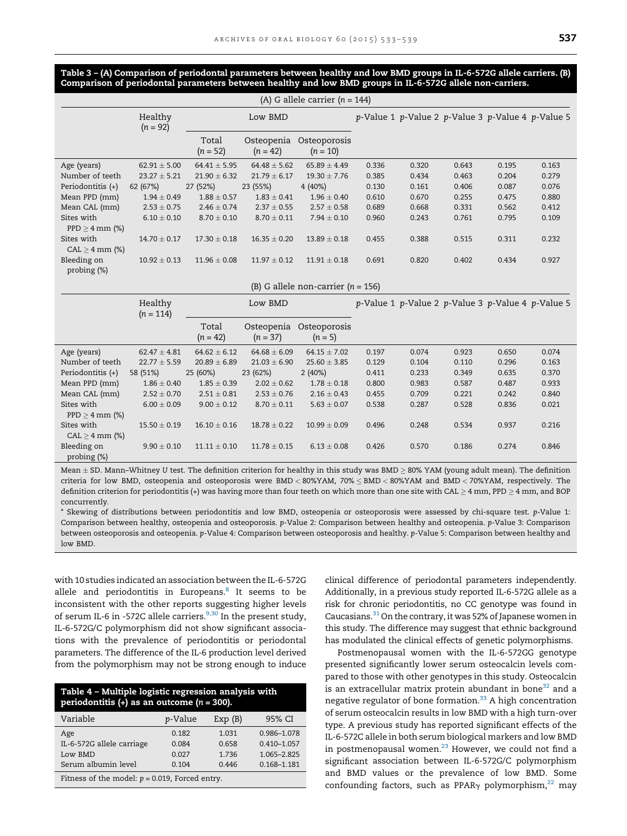<span id="page-4-0"></span>Table 3 – (A) Comparison of periodontal parameters between healthy and low BMD groups in IL-6-572G allele carriers. (B) Comparison of periodontal parameters between healthy and low BMD groups in IL-6-572G allele non-carriers.

|                                   |                       |                     |                          | (A) G allele carrier $(n = 144)$     |       |       |                                                   |                                                   |       |
|-----------------------------------|-----------------------|---------------------|--------------------------|--------------------------------------|-------|-------|---------------------------------------------------|---------------------------------------------------|-------|
|                                   | Healthy<br>$(n = 92)$ | Low BMD             |                          |                                      |       |       |                                                   | p-Value 1 p-Value 2 p-Value 3 p-Value 4 p-Value 5 |       |
|                                   |                       | Total<br>$(n = 52)$ | Osteopenia<br>$(n = 42)$ | Osteoporosis<br>$(n = 10)$           |       |       |                                                   |                                                   |       |
| Age (years)                       | $62.91 \pm 5.00$      | $64.41 \pm 5.95$    | $64.48 \pm 5.62$         | $65.89 \pm 4.49$                     | 0.336 | 0.320 | 0.643                                             | 0.195                                             | 0.163 |
| Number of teeth                   | $23.27 \pm 5.21$      | $21.90 \pm 6.32$    | $21.79 \pm 6.17$         | $19.30 \pm 7.76$                     | 0.385 | 0.434 | 0.463                                             | 0.204                                             | 0.279 |
| Periodontitis (+)                 | 62 (67%)              | 27 (52%)            | 23 (55%)                 | 4(40%)                               | 0.130 | 0.161 | 0.406                                             | 0.087                                             | 0.076 |
| Mean PPD (mm)                     | $1.94 \pm 0.49$       | $1.88 \pm 0.57$     | $1.83 \pm 0.41$          | $1.96 \pm 0.40$                      | 0.610 | 0.670 | 0.255                                             | 0.475                                             | 0.880 |
| Mean CAL (mm)                     | $2.53 \pm 0.75$       | $2.46 \pm 0.74$     | $2.37 \pm 0.55$          | $2.57 \pm 0.58$                      | 0.689 | 0.668 | 0.331                                             | 0.562                                             | 0.412 |
| Sites with<br>$PPD \geq 4$ mm (%) | $6.10 \pm 0.10$       | $8.70 \pm 0.10$     | $8.70 \pm 0.11$          | $7.94 \pm 0.10$                      | 0.960 | 0.243 | 0.761                                             | 0.795                                             | 0.109 |
| Sites with<br>$CAL \geq 4$ mm (%) | $14.70 \pm 0.17$      | $17.30 \pm 0.18$    | $16.35 \pm 0.20$         | $13.89 \pm 0.18$                     | 0.455 | 0.388 | 0.515                                             | 0.311                                             | 0.232 |
| Bleeding on<br>probing (%)        | $10.92 \pm 0.13$      | $11.96 \pm 0.08$    | $11.97 \pm 0.12$         | $11.91 \pm 0.18$                     | 0.691 | 0.820 | 0.402                                             | 0.434                                             | 0.927 |
|                                   |                       |                     |                          | (B) G allele non-carrier $(n = 156)$ |       |       |                                                   |                                                   |       |
|                                   | Healthy               |                     | Low BMD                  |                                      |       |       | p-Value 1 p-Value 2 p-Value 3 p-Value 4 p-Value 5 |                                                   |       |

|                               | $(n = 114)$      |                     |                          |                           |       |       |       |       |       |
|-------------------------------|------------------|---------------------|--------------------------|---------------------------|-------|-------|-------|-------|-------|
|                               |                  | Total<br>$(n = 42)$ | Osteopenia<br>$(n = 37)$ | Osteoporosis<br>$(n = 5)$ |       |       |       |       |       |
| Age (years)                   | $62.47 \pm 4.81$ | $64.62 \pm 6.12$    | $64.68 \pm 6.09$         | $64.15 \pm 7.02$          | 0.197 | 0.074 | 0.923 | 0.650 | 0.074 |
| Number of teeth               | $22.77 \pm 5.59$ | $20.89 \pm 6.89$    | $21.03 \pm 6.90$         | $25.60 \pm 3.85$          | 0.129 | 0.104 | 0.110 | 0.296 | 0.163 |
| Periodontitis (+)             | 58 (51%)         | 25 (60%)            | 23 (62%)                 | 2(40%)                    | 0.411 | 0.233 | 0.349 | 0.635 | 0.370 |
| Mean PPD (mm)                 | $1.86 \pm 0.40$  | $1.85 \pm 0.39$     | $2.02 \pm 0.62$          | $1.78 \pm 0.18$           | 0.800 | 0.983 | 0.587 | 0.487 | 0.933 |
| Mean CAL (mm)                 | $2.52 \pm 0.70$  | $2.51 \pm 0.81$     | $2.53 \pm 0.76$          | $2.16 \pm 0.43$           | 0.455 | 0.709 | 0.221 | 0.242 | 0.840 |
| Sites with                    | $6.00 \pm 0.09$  | $9.00 \pm 0.12$     | $8.70 \pm 0.11$          | $5.63 \pm 0.07$           | 0.538 | 0.287 | 0.528 | 0.836 | 0.021 |
| $PPD > 4$ mm $(\%)$           |                  |                     |                          |                           |       |       |       |       |       |
| Sites with                    | $15.50 \pm 0.19$ | $16.10 \pm 0.16$    | $18.78 \pm 0.22$         | $10.99 \pm 0.09$          | 0.496 | 0.248 | 0.534 | 0.937 | 0.216 |
| $CAL \geq 4$ mm (%)           |                  |                     |                          |                           |       |       |       |       |       |
| Bleeding on<br>probing $(\%)$ | $9.90 \pm 0.10$  | $11.11 \pm 0.10$    | $11.78 \pm 0.15$         | $6.13 \pm 0.08$           | 0.426 | 0.570 | 0.186 | 0.274 | 0.846 |

Mean  $\pm$  SD. Mann–Whitney U test. The definition criterion for healthy in this study was BMD  $\geq$  80% YAM (young adult mean). The definition criteria for low BMD, osteopenia and osteoporosis were BMD < 80%YAM, 70% BMD < 80%YAM and BMD < 70%YAM, respectively. The definition criterion for periodontitis (+) was having more than four teeth on which more than one site with CAL  $\geq$  4 mm, PPD  $\geq$  4 mm, and BOP concurrently.

\* Skewing of distributions between periodontitis and low BMD, osteopenia or osteoporosis were assessed by chi-square test. p-Value 1: Comparison between healthy, osteopenia and osteoporosis. p-Value 2: Comparison between healthy and osteopenia. p-Value 3: Comparison between osteoporosis and osteopenia. p-Value 4: Comparison between osteoporosis and healthy. p-Value 5: Comparison between healthy and low BMD.

with 10 studies indicated an association between the IL-6-572G allele and periodontitis in Europeans.<sup>8</sup> It seems to be inconsistent with the other reports suggesting higher levels of serum IL-6 in -572C allele carriers.<sup>[9,30](#page-5-0)</sup> In the present study, IL-6-572G/C polymorphism did not show significant associations with the prevalence of periodontitis or periodontal parameters. The difference of the IL-6 production level derived from the polymorphism may not be strong enough to induce

| Table 4 - Multiple logistic regression analysis with<br>periodontitis (+) as an outcome ( $n = 300$ ). |         |         |                 |  |  |  |  |  |
|--------------------------------------------------------------------------------------------------------|---------|---------|-----------------|--|--|--|--|--|
| Variable                                                                                               | p-Value | Exp(B)  | 95% CI          |  |  |  |  |  |
| Age                                                                                                    | 0.182   | 1.031   | 0.986-1.078     |  |  |  |  |  |
| IL-6-572G allele carriage                                                                              | 0.084   | 0.658   | $0.410 - 1.057$ |  |  |  |  |  |
| Low BMD                                                                                                | 0.027   | 1 7 3 6 | 1.065-2.825     |  |  |  |  |  |
| Serum albumin level                                                                                    | 0.104   | 0.446   | 0.168-1.181     |  |  |  |  |  |
| Fitness of the model: $p = 0.019$ , Forced entry.                                                      |         |         |                 |  |  |  |  |  |

clinical difference of periodontal parameters independently. Additionally, in a previous study reported IL-6-572G allele as a risk for chronic periodontitis, no CC genotype was found in Caucasians. $31$  On the contrary, it was 52% of Japanese women in this study. The difference may suggest that ethnic background has modulated the clinical effects of genetic polymorphisms.

Postmenopausal women with the IL-6-572GG genotype presented significantly lower serum osteocalcin levels compared to those with other genotypes in this study. Osteocalcin is an extracellular matrix protein abundant in bone<sup>[32](#page-6-0)</sup> and a negative regulator of bone formation. $33$  A high concentration of serum osteocalcin results in low BMD with a high turn-over type. A previous study has reported significant effects of the IL-6-572C allele in both serum biological markers and low BMD in postmenopausal women. $^{23}$  However, we could not find a significant association between IL-6-572G/C polymorphism and BMD values or the prevalence of low BMD. Some confounding factors, such as PPAR $\gamma$  polymorphism,<sup>22</sup> may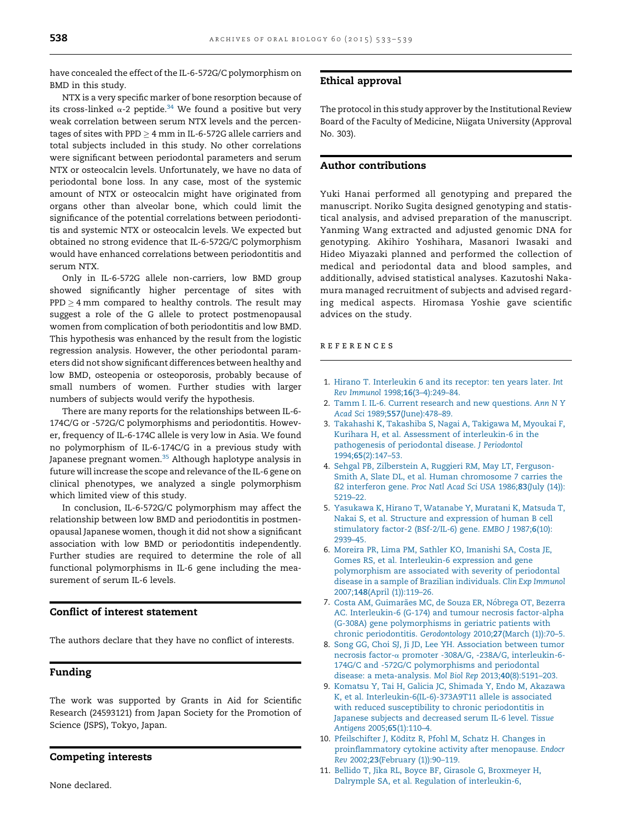<span id="page-5-0"></span>have concealed the effect of the IL-6-572G/C polymorphism on BMD in this study.

NTX is a very specific marker of bone resorption because of its cross-linked  $\alpha$ -2 peptide.<sup>[34](#page-6-0)</sup> We found a positive but very weak correlation between serum NTX levels and the percentages of sites with PPD  $\geq$  4 mm in IL-6-572G allele carriers and total subjects included in this study. No other correlations were significant between periodontal parameters and serum NTX or osteocalcin levels. Unfortunately, we have no data of periodontal bone loss. In any case, most of the systemic amount of NTX or osteocalcin might have originated from organs other than alveolar bone, which could limit the significance of the potential correlations between periodontitis and systemic NTX or osteocalcin levels. We expected but obtained no strong evidence that IL-6-572G/C polymorphism would have enhanced correlations between periodontitis and serum NTX.

Only in IL-6-572G allele non-carriers, low BMD group showed significantly higher percentage of sites with PPD  $\geq$  4 mm compared to healthy controls. The result may suggest a role of the G allele to protect postmenopausal women from complication of both periodontitis and low BMD. This hypothesis was enhanced by the result from the logistic regression analysis. However, the other periodontal parameters did not show significant differences between healthy and low BMD, osteopenia or osteoporosis, probably because of small numbers of women. Further studies with larger numbers of subjects would verify the hypothesis.

There are many reports for the relationships between IL-6- 174C/G or -572G/C polymorphisms and periodontitis. However, frequency of IL-6-174C allele is very low in Asia. We found no polymorphism of IL-6-174C/G in a previous study with Japanese pregnant women.<sup>35</sup> Although haplotype analysis in future will increase the scope and relevance of the IL-6 gene on clinical phenotypes, we analyzed a single polymorphism which limited view of this study.

In conclusion, IL-6-572G/C polymorphism may affect the relationship between low BMD and periodontitis in postmenopausal Japanese women, though it did not show a significant association with low BMD or periodontitis independently. Further studies are required to determine the role of all functional polymorphisms in IL-6 gene including the measurement of serum IL-6 levels.

# Conflict of interest statement

The authors declare that they have no conflict of interests.

## Funding

The work was supported by Grants in Aid for Scientific Research (24593121) from Japan Society for the Promotion of Science (JSPS), Tokyo, Japan.

## Competing interests

None declared.

#### Ethical approval

The protocol in this study approver by the Institutional Review Board of the Faculty of Medicine, Niigata University (Approval No. 303).

# Author contributions

Yuki Hanai performed all genotyping and prepared the manuscript. Noriko Sugita designed genotyping and statistical analysis, and advised preparation of the manuscript. Yanming Wang extracted and adjusted genomic DNA for genotyping. Akihiro Yoshihara, Masanori Iwasaki and Hideo Miyazaki planned and performed the collection of medical and periodontal data and blood samples, and additionally, advised statistical analyses. Kazutoshi Nakamura managed recruitment of subjects and advised regarding medical aspects. Hiromasa Yoshie gave scientific advices on the study.

#### r e f e r e n c e s

- 1. Hirano T. [Interleukin](http://refhub.elsevier.com/S0003-9969(14)00316-1/sbref0005) 6 and its receptor: ten years later. Int Rev Immunol 1998;16[\(3–4\):249–84.](http://refhub.elsevier.com/S0003-9969(14)00316-1/sbref0005)
- 2. Tamm I. IL-6. Current research and new [questions.](http://refhub.elsevier.com/S0003-9969(14)00316-1/sbref0010) Ann N Y Acad Sci 1989;557[\(June\):478–89.](http://refhub.elsevier.com/S0003-9969(14)00316-1/sbref0010)
- 3. [Takahashi](http://refhub.elsevier.com/S0003-9969(14)00316-1/sbref0015) K, Takashiba S, Nagai A, Takigawa M, Myoukai F, Kurihara H, et al. Assessment of [interleukin-6](http://refhub.elsevier.com/S0003-9969(14)00316-1/sbref0015) in the [pathogenesis](http://refhub.elsevier.com/S0003-9969(14)00316-1/sbref0015) of periodontal disease. J Periodontol 1994;65[\(2\):147–53.](http://refhub.elsevier.com/S0003-9969(14)00316-1/sbref0015)
- 4. Sehgal PB, [Zilberstein](http://refhub.elsevier.com/S0003-9969(14)00316-1/sbref0020) A, Ruggieri RM, May LT, Ferguson-Smith A, Slate DL, et al. Human [chromosome](http://refhub.elsevier.com/S0003-9969(14)00316-1/sbref0020) 7 carries the ß2 [interferon](http://refhub.elsevier.com/S0003-9969(14)00316-1/sbref0020) gene. Proc Natl Acad Sci USA 1986;83(July (14)): [5219–22.](http://refhub.elsevier.com/S0003-9969(14)00316-1/sbref0020)
- 5. [Yasukawa](http://refhub.elsevier.com/S0003-9969(14)00316-1/sbref0025) K, Hirano T, Watanabe Y, Muratani K, Matsuda T, Nakai S, et al. Structure and [expression](http://refhub.elsevier.com/S0003-9969(14)00316-1/sbref0025) of human B cell [stimulatory](http://refhub.elsevier.com/S0003-9969(14)00316-1/sbref0025) factor-2 (BSf-2/IL-6) gene. EMBO J 1987;6(10): [2939–45.](http://refhub.elsevier.com/S0003-9969(14)00316-1/sbref0025)
- 6. Moreira PR, Lima PM, Sathler KO, [Imanishi](http://refhub.elsevier.com/S0003-9969(14)00316-1/sbref0030) SA, Costa JE, Gomes RS, et al. [Interleukin-6](http://refhub.elsevier.com/S0003-9969(14)00316-1/sbref0030) expression and gene [polymorphism](http://refhub.elsevier.com/S0003-9969(14)00316-1/sbref0030) are associated with severity of periodontal disease in a sample of Brazilian [individuals.](http://refhub.elsevier.com/S0003-9969(14)00316-1/sbref0030) Clin Exp Immunol 2007;148(April [\(1\)\):119–26.](http://refhub.elsevier.com/S0003-9969(14)00316-1/sbref0030)
- 7. Costa AM, Guimarães MC, de Souza ER, Nóbrega OT, Bezerra AC. [Interleukin-6](http://refhub.elsevier.com/S0003-9969(14)00316-1/sbref0035) (G-174) and tumour necrosis factor-alpha (G-308A) gene [polymorphisms](http://refhub.elsevier.com/S0003-9969(14)00316-1/sbref0035) in geriatric patients with chronic [periodontitis.](http://refhub.elsevier.com/S0003-9969(14)00316-1/sbref0035) Gerodontology 2010;27(March (1)):70–5.
- 8. Song GG, Choi SJ, Ji JD, Lee YH. [Association](http://refhub.elsevier.com/S0003-9969(14)00316-1/sbref0040) between tumor necrosis factor-a promoter -308A/G, -238A/G, [interleukin-6-](http://refhub.elsevier.com/S0003-9969(14)00316-1/sbref0040) 174G/C and -572G/C [polymorphisms](http://refhub.elsevier.com/S0003-9969(14)00316-1/sbref0040) and periodontal disease: a [meta-analysis.](http://refhub.elsevier.com/S0003-9969(14)00316-1/sbref0040) Mol Biol Rep 2013;40(8):5191–203.
- 9. Komatsu Y, Tai H, Galicia JC, Shimada Y, Endo M, [Akazawa](http://refhub.elsevier.com/S0003-9969(14)00316-1/sbref0045) K, et al. [Interleukin-6\(IL-6\)-373A9T11](http://refhub.elsevier.com/S0003-9969(14)00316-1/sbref0045) allele is associated with reduced [susceptibility](http://refhub.elsevier.com/S0003-9969(14)00316-1/sbref0045) to chronic periodontitis in Japanese subjects and [decreased](http://refhub.elsevier.com/S0003-9969(14)00316-1/sbref0045) serum IL-6 level. Tissue Antigens 2005;65[\(1\):110–4.](http://refhub.elsevier.com/S0003-9969(14)00316-1/sbref0045)
- 10. [Pfeilschifter](http://refhub.elsevier.com/S0003-9969(14)00316-1/sbref0050) J, Köditz R, Pfohl M, Schatz H. Changes in [proinflammatory](http://refhub.elsevier.com/S0003-9969(14)00316-1/sbref0050) cytokine activity after menopause. Endocr Rev 2002;23(February [\(1\)\):90–119.](http://refhub.elsevier.com/S0003-9969(14)00316-1/sbref0050)
- 11. Bellido T, Jika RL, Boyce BF, Girasole G, [Broxmeyer](http://refhub.elsevier.com/S0003-9969(14)00316-1/sbref0055) H, Dalrymple SA, et al. Regulation of [interleukin-6,](http://refhub.elsevier.com/S0003-9969(14)00316-1/sbref0055)